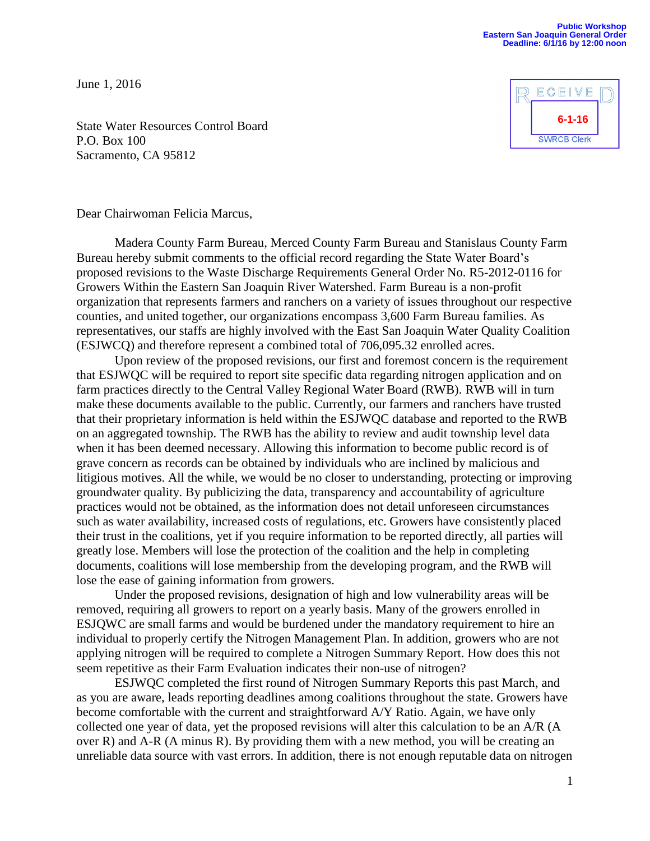## **Public Workshop Eastern San Joaquin General Order Deadline: 6/1/16 by 12:00 noon**

June 1, 2016



State Water Resources Control Board P.O. Box 100 Sacramento, CA 95812

Dear Chairwoman Felicia Marcus,

Madera County Farm Bureau, Merced County Farm Bureau and Stanislaus County Farm Bureau hereby submit comments to the official record regarding the State Water Board's proposed revisions to the Waste Discharge Requirements General Order No. R5-2012-0116 for Growers Within the Eastern San Joaquin River Watershed. Farm Bureau is a non-profit organization that represents farmers and ranchers on a variety of issues throughout our respective counties, and united together, our organizations encompass 3,600 Farm Bureau families. As representatives, our staffs are highly involved with the East San Joaquin Water Quality Coalition (ESJWCQ) and therefore represent a combined total of 706,095.32 enrolled acres.

Upon review of the proposed revisions, our first and foremost concern is the requirement that ESJWQC will be required to report site specific data regarding nitrogen application and on farm practices directly to the Central Valley Regional Water Board (RWB). RWB will in turn make these documents available to the public. Currently, our farmers and ranchers have trusted that their proprietary information is held within the ESJWQC database and reported to the RWB on an aggregated township. The RWB has the ability to review and audit township level data when it has been deemed necessary. Allowing this information to become public record is of grave concern as records can be obtained by individuals who are inclined by malicious and litigious motives. All the while, we would be no closer to understanding, protecting or improving groundwater quality. By publicizing the data, transparency and accountability of agriculture practices would not be obtained, as the information does not detail unforeseen circumstances such as water availability, increased costs of regulations, etc. Growers have consistently placed their trust in the coalitions, yet if you require information to be reported directly, all parties will greatly lose. Members will lose the protection of the coalition and the help in completing documents, coalitions will lose membership from the developing program, and the RWB will lose the ease of gaining information from growers.

Under the proposed revisions, designation of high and low vulnerability areas will be removed, requiring all growers to report on a yearly basis. Many of the growers enrolled in ESJQWC are small farms and would be burdened under the mandatory requirement to hire an individual to properly certify the Nitrogen Management Plan. In addition, growers who are not applying nitrogen will be required to complete a Nitrogen Summary Report. How does this not seem repetitive as their Farm Evaluation indicates their non-use of nitrogen?

ESJWQC completed the first round of Nitrogen Summary Reports this past March, and as you are aware, leads reporting deadlines among coalitions throughout the state. Growers have become comfortable with the current and straightforward A/Y Ratio. Again, we have only collected one year of data, yet the proposed revisions will alter this calculation to be an A/R (A over R) and A-R (A minus R). By providing them with a new method, you will be creating an unreliable data source with vast errors. In addition, there is not enough reputable data on nitrogen